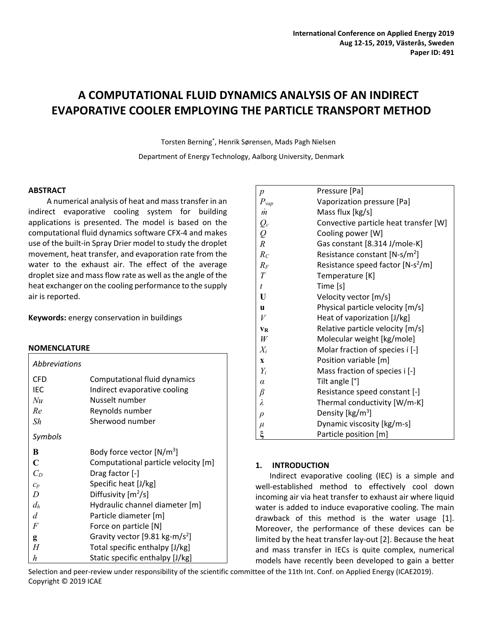# **A COMPUTATIONAL FLUID DYNAMICS ANALYSIS OF AN INDIRECT EVAPORATIVE COOLER EMPLOYING THE PARTICLE TRANSPORT METHOD**

Torsten Berning\* , Henrik Sørensen, Mads Pagh Nielsen

Department of Energy Technology, Aalborg University, Denmark

### **ABSTRACT**

A numerical analysis of heat and mass transfer in an indirect evaporative cooling system for building applications is presented. The model is based on the computational fluid dynamics software CFX-4 and makes use of the built-in Spray Drier model to study the droplet movement, heat transfer, and evaporation rate from the water to the exhaust air. The effect of the average droplet size and mass flow rate as well as the angle of the heat exchanger on the cooling performance to the supply air is reported.

**Keywords:** energy conservation in buildings

#### **NOMENCLATURE**

| Abbreviations |                                            |  |  |
|---------------|--------------------------------------------|--|--|
| CFD           | Computational fluid dynamics               |  |  |
| IEC           | Indirect evaporative cooling               |  |  |
| Nu            | Nusselt number                             |  |  |
| Re            | Reynolds number                            |  |  |
| Sh            | Sherwood number                            |  |  |
| Symbols       |                                            |  |  |
| B             | Body force vector $[N/m^3]$                |  |  |
| $\mathbf C$   | Computational particle velocity [m]        |  |  |
| $C_D$         | Drag factor [-]                            |  |  |
| $c_p$         | Specific heat [J/kg]                       |  |  |
| D             | Diffusivity $[m^2/s]$                      |  |  |
| $d_h$         | Hydraulic channel diameter [m]             |  |  |
| d             | Particle diameter [m]                      |  |  |
| F             | Force on particle [N]                      |  |  |
| g             | Gravity vector [9.81 kg-m/s <sup>2</sup> ] |  |  |
| H             | Total specific enthalpy [J/kg]             |  |  |
| h             | Static specific enthalpy [J/kg]            |  |  |

| $\boldsymbol{p}$  | Pressure [Pa]                             |
|-------------------|-------------------------------------------|
| $P_{vap}$         | Vaporization pressure [Pa]                |
| m                 | Mass flux [kg/s]                          |
|                   | Convective particle heat transfer [W]     |
| $\frac{Q_c}{Q}$ R | Cooling power [W]                         |
|                   | Gas constant [8.314 J/mole-K]             |
| $R_C$             | Resistance constant [N-s/m <sup>2</sup> ] |
| $R_F$             | Resistance speed factor $[N-s^2/m]$       |
| T                 | Temperature [K]                           |
| $\bar{t}$         | Time [s]                                  |
| U                 | Velocity vector [m/s]                     |
| $\mathbf{u}$      | Physical particle velocity [m/s]          |
| V                 | Heat of vaporization [J/kg]               |
| <b>VR</b>         | Relative particle velocity [m/s]          |
| W                 | Molecular weight [kg/mole]                |
| $X_i$             | Molar fraction of species i [-]           |
| $\mathbf{x}$      | Position variable [m]                     |
| $Y_i$             | Mass fraction of species i [-]            |
| $\alpha$          | Tilt angle [°]                            |
| $\beta$           | Resistance speed constant [-]             |
| $\lambda$         | Thermal conductivity [W/m-K]              |
| $\rho$            | Density [kg/m <sup>3</sup> ]              |
| $\mu$             | Dynamic viscosity [kg/m-s]                |
| $\xi$             | Particle position [m]                     |

# **1. INTRODUCTION**

Indirect evaporative cooling (IEC) is a simple and well-established method to effectively cool down incoming air via heat transfer to exhaust air where liquid water is added to induce evaporative cooling. The main drawback of this method is the water usage [1]. Moreover, the performance of these devices can be limited by the heat transfer lay-out [2]. Because the heat and mass transfer in IECs is quite complex, numerical models have recently been developed to gain a better

Selection and peer-review under responsibility of the scientific committee of the 11th Int. Conf. on Applied Energy (ICAE2019). Copyright © 2019 ICAE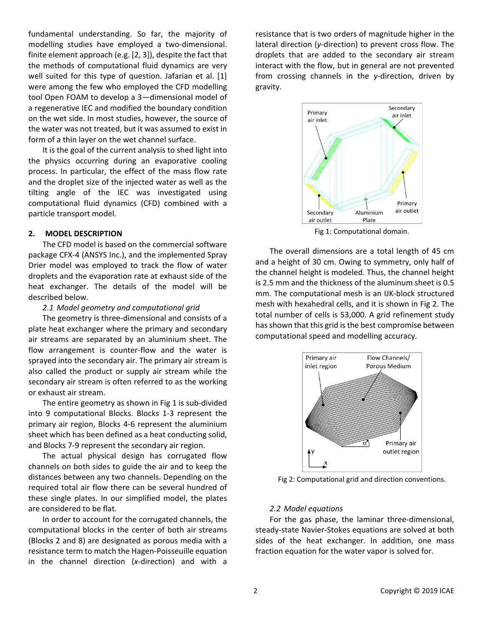fundamental understanding. So far, the majority of modelling studies have employed a two-dimensional. finite element approach (e.g. [2, 3]), despite the fact that the methods of computational fluid dynamics are very well suited for this type of question. Jafarian et al. [1] were among the few who employed the CFD modelling tool Open FOAM to develop a 3—dimensional model of a regenerative IEC and modified the boundary condition on the wet side. In most studies, however, the source of the water was not treated, but it was assumed to exist in form of a thin layer on the wet channel surface.

It is the goal of the current analysis to shed light into the physics occurring during an evaporative cooling process. In particular, the effect of the mass flow rate and the droplet size of the injected water as well as the tilting angle of the IEC was investigated using computational fluid dynamics (CFD) combined with a particle transport model.

# **2. MODEL DESCRIPTION**

The CFD model is based on the commercial software package CFX-4 (ANSYS Inc.), and the implemented Spray Drier model was employed to track the flow of water droplets and the evaporation rate at exhaust side of the heat exchanger. The details of the model will be described below.

#### *2.1 Model geometry and computational grid*

The geometry is three-dimensional and consists of a plate heat exchanger where the primary and secondary air streams are separated by an aluminium sheet. The flow arrangement is counter-flow and the water is sprayed into the secondary air. The primary air stream is also called the product or supply air stream while the secondary air stream is often referred to as the working or exhaust air stream.

The entire geometry as shown in Fig 1 is sub-divided into 9 computational Blocks. Blocks 1-3 represent the primary air region, Blocks 4-6 represent the aluminium sheet which has been defined as a heat conducting solid, and Blocks 7-9 represent the secondary air region.

The actual physical design has corrugated flow channels on both sides to guide the air and to keep the distances between any two channels. Depending on the required total air flow there can be several hundred of these single plates. In our simplified model, the plates are considered to be flat.

In order to account for the corrugated channels, the computational blocks in the center of both air streams (Blocks 2 and 8) are designated as porous media with a resistance term to match the Hagen-Poisseuille equation in the channel direction (*x*-direction) and with a

resistance that is two orders of magnitude higher in the lateral direction (*y*-direction) to prevent cross flow. The droplets that are added to the secondary air stream interact with the flow, but in general are not prevented from crossing channels in the *y*-direction, driven by gravity.



Fig 1: Computational domain.

The overall dimensions are a total length of 45 cm and a height of 30 cm. Owing to symmetry, only half of the channel height is modeled. Thus, the channel height is 2.5 mm and the thickness of the aluminum sheet is 0.5 mm. The computational mesh is an IJK-block structured mesh with hexahedral cells, and it is shown in Fig 2. The total number of cells is 53,000. A grid refinement study has shown that this grid is the best compromise between computational speed and modelling accuracy.



Fig 2: Computational grid and direction conventions.

#### *2.2 Model equations*

For the gas phase, the laminar three-dimensional, steady-state Navier-Stokes equations are solved at both sides of the heat exchanger. In addition, one mass fraction equation for the water vapor is solved for.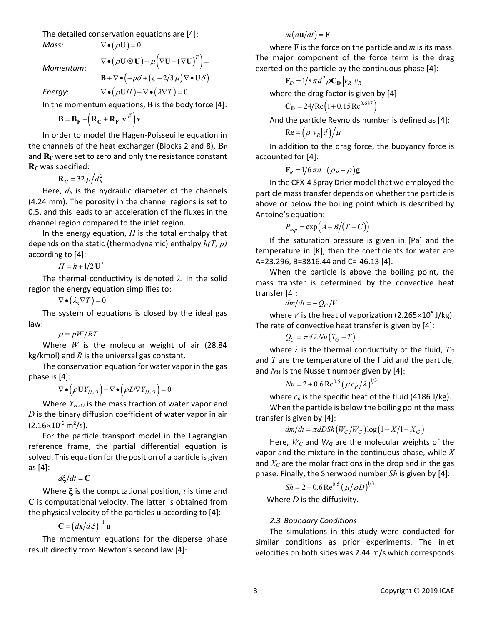The detailed conservation equations are [4]:

 $Mass:$ 

$$
\nabla \bullet (\rho \mathbf{U}) = 0
$$

*Momentum*:

 $\mathbf{B} + \nabla \bullet (-p\delta + (\varsigma - 2/3\,\mu)\nabla \bullet \mathbf{U}\delta)$ 

 $\nabla \bullet (\rho \mathbf{U} \otimes \mathbf{U}) - \mu \Big( \nabla \mathbf{U} + \big( \nabla \mathbf{U} \big)^T \Big) =$ 

*Energy:*  $\nabla \cdot (\rho \mathbf{U} H) - \nabla \cdot (\lambda \nabla T) = 0$ 

In the momentum equations, **B** is the body force [4]:

$$
\mathbf{B} = \mathbf{B}_{\mathbf{F}} - \left(\mathbf{R}_{\mathbf{C}} + \mathbf{R}_{\mathbf{F}} \left| \mathbf{v} \right|^\beta \right) \mathbf{v}
$$

In order to model the Hagen-Poisseuille equation in the channels of the heat exchanger (Blocks 2 and 8),  $B_F$ and  $R_F$  were set to zero and only the resistance constant  $R<sub>C</sub>$  was specified:

$$
\mathbf{R}_{\mathbf{C}} = 32 \,\mu \big/ d_h^2
$$

Here, *dh* is the hydraulic diameter of the channels (4.24 mm). The porosity in the channel regions is set to 0.5, and this leads to an acceleration of the fluxes in the channel region compared to the inlet region.

In the energy equation, *H* is the total enthalpy that depends on the static (thermodynamic) enthalpy *h(T, p)* according to [4]:

 $H = h + 1/2 U^2$ 

The thermal conductivity is denoted *λ*. In the solid region the energy equation simplifies to:

 $\nabla \bullet (\lambda_{\rm s} \nabla T) = 0$ 

The system of equations is closed by the ideal gas law:

 $\rho = pW/RT$ 

Where *W* is the molecular weight of air (28.84 kg/kmol) and *R* is the universal gas constant.

The conservation equation for water vapor in the gas phase is [4]:

 $\nabla \bullet (\rho \mathbf{U} Y_{H, o}) - \nabla \bullet (\rho D \nabla Y_{H, o}) = 0$ 

Where  $Y_{H2O}$  is the mass fraction of water vapor and *D* is the binary diffusion coefficient of water vapor in air  $(2.16\times10^{-6} \text{ m}^2/\text{s})$ .

For the particle transport model in the Lagrangian reference frame, the partial differential equation is solved. This equation for the position of a particle is given as [4]:

 $d\mathbf{\xi}/dt = \mathbf{C}$ 

Where ξ is the computational position, *t* is time and **C** is computational velocity. The latter is obtained from the physical velocity of the particles **u** according to [4]:

 $C = (dx/d\xi)^{-1}$ **u** 

The momentum equations for the disperse phase result directly from Newton's second law [4]:

 $m \left( d\mathbf{u}/dt \right) = \mathbf{F}$ 

where **F** is the force on the particle and *m* is its mass. The major component of the force term is the drag exerted on the particle by the continuous phase [4]:

$$
\mathbf{F}_D = 1/8 \pi d^2 \rho \mathbf{C_D} |v_R| v_R
$$

where the drag factor is given by [4]:

 $C_D = 24/Re(1 + 0.15Re<sup>0.687</sup>)$ 

And the particle Reynolds number is defined as [4]:

 $\text{Re} = (\rho |v_R|d)/\mu$ 

In addition to the drag force, the buoyancy force is accounted for [4]:

$$
\mathbf{F}_B = 1/6 \pi d^2 (\rho_P - \rho) \mathbf{g}
$$

In the CFX-4 Spray Drier model that we employed the particle mass transfer depends on whether the particle is above or below the boiling point which is described by Antoine's equation:

$$
P_{vap} = \exp\left(A - B/(T + C)\right)
$$

If the saturation pressure is given in [Pa] and the temperature in [K], then the coefficients for water are A=23.296, B=3816.44 and C=-46.13 [4].

When the particle is above the boiling point, the mass transfer is determined by the convective heat transfer [4]:

$$
dm/dt = -Q_C/V
$$

where *V* is the heat of vaporization (2.265 $\times$ 10<sup>6</sup> J/kg). The rate of convective heat transfer is given by [4]:

$$
Q_C = \pi d\lambda Nu(T_G - T)
$$

where  $\lambda$  is the thermal conductivity of the fluid,  $T_G$ and *T* are the temperature of the fluid and the particle, and *Nu* is the Nusselt number given by [4]:

$$
Nu = 2 + 0.6 \,\text{Re}^{0.5} \left(\mu \, c_P / \lambda \right)^{1/3}
$$

where  $c_p$  is the specific heat of the fluid (4186 J/kg). When the particle is below the boiling point the mass transfer is given by [4]:

 $dm/dt = \pi dDSh(W_C/W_G) \log(1 - X/1 - X_G)$ 

Here,  $W_C$  and  $W_G$  are the molecular weights of the vapor and the mixture in the continuous phase, while *X* and *XG* are the molar fractions in the drop and in the gas phase. Finally, the Sherwood number *Sh* is given by [4]:

$$
Sh = 2 + 0.6 \,\text{Re}^{0.5} \left( \frac{\mu}{\rho D} \right)^{1/3}
$$

Where *D* is the diffusivity.

# *2.3 Boundary Conditions*

The simulations in this study were conducted for similar conditions as prior experiments. The inlet velocities on both sides was 2.44 m/s which corresponds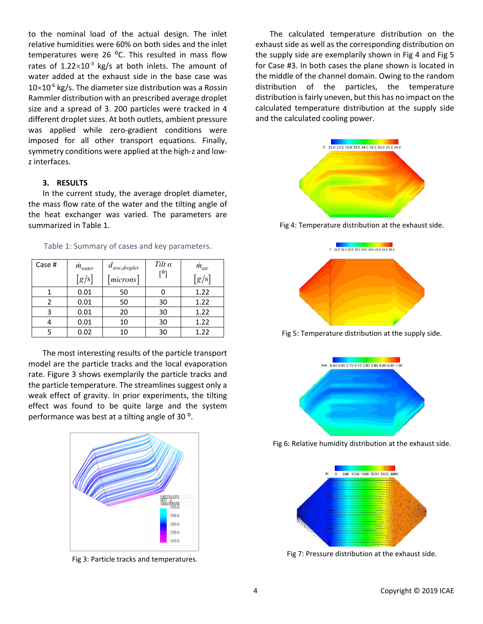to the nominal load of the actual design. The inlet relative humidities were 60% on both sides and the inlet temperatures were 26  $^{\circ}$ C. This resulted in mass flow rates of  $1.22 \times 10^{-3}$  kg/s at both inlets. The amount of water added at the exhaust side in the base case was  $10\times10^{-6}$  kg/s. The diameter size distribution was a Rossin Rammler distribution with an prescribed average droplet size and a spread of 3. 200 particles were tracked in 4 different droplet sizes. At both outlets, ambient pressure was applied while zero-gradient conditions were imposed for all other transport equations. Finally, symmetry conditions were applied at the high-z and lowz interfaces.

# **3. RESULTS**

In the current study, the average droplet diameter, the mass flow rate of the water and the tilting angle of the heat exchanger was varied. The parameters are summarized in Table 1.

| Case # | $m_{water}$ | $d_{ave,droplet}$ | Tilt $\alpha$<br><b>FOT</b> | $m_{air}$ |
|--------|-------------|-------------------|-----------------------------|-----------|
|        | [g/s]       | microns           |                             | [g/s]     |
|        | 0.01        | 50                |                             | 1.22      |
| າ      | 0.01        | 50                | 30                          | 1.22      |
| 3      | 0.01        | 20                | 30                          | 1.22      |
|        | 0.01        | 10                | 30                          | 1.22      |
|        | 0.02        | 10                | 30                          | 1.22      |

Table 1: Summary of cases and key parameters.

The most interesting results of the particle transport model are the particle tracks and the local evaporation rate. Figure 3 shows exemplarily the particle tracks and the particle temperature. The streamlines suggest only a weak effect of gravity. In prior experiments, the tilting effect was found to be quite large and the system performance was best at a tilting angle of 30<sup>o</sup>.



Fig 3: Particle tracks and temperatures.

The calculated temperature distribution on the exhaust side as well as the corresponding distribution on the supply side are exemplarily shown in Fig 4 and Fig 5 for Case #3. In both cases the plane shown is located in the middle of the channel domain. Owing to the random distribution of the particles, the temperature distribution is fairly uneven, but this has no impact on the calculated temperature distribution at the supply side and the calculated cooling power.



Fig 4: Temperature distribution at the exhaust side.



Fig 5: Temperature distribution at the supply side.



Fig 6: Relative humidity distribution at the exhaust side.



Fig 7: Pressure distribution at the exhaust side.